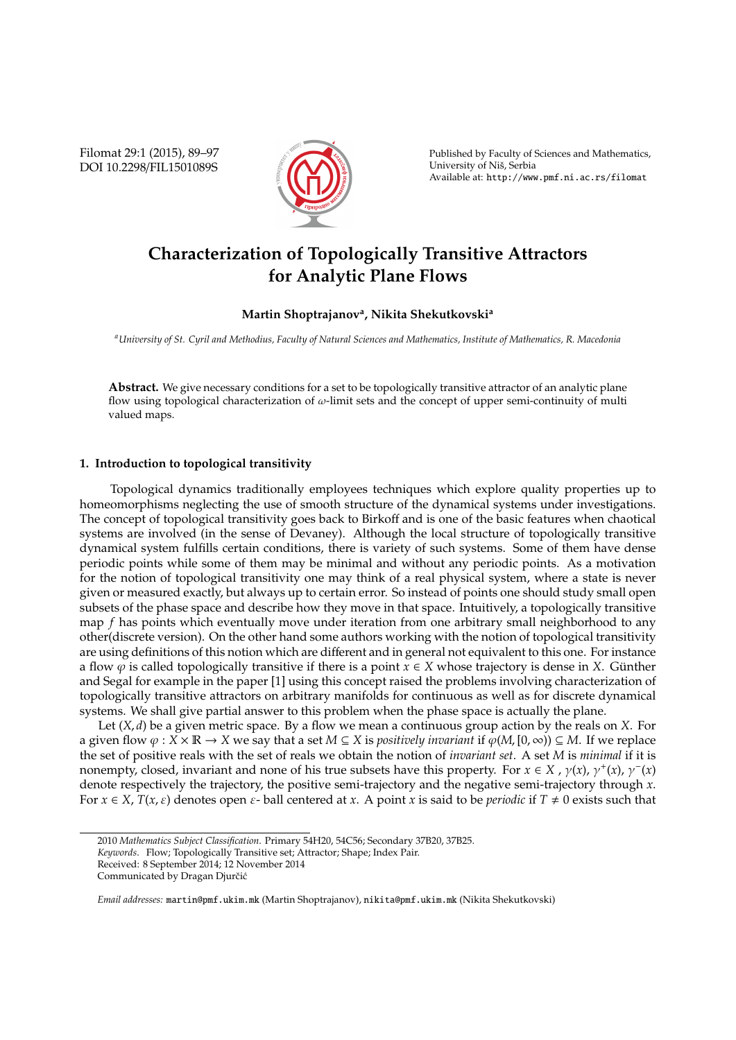Filomat 29:1 (2015), 89–97 DOI 10.2298/FIL1501089S



Published by Faculty of Sciences and Mathematics, University of Niš, Serbia Available at: http://www.pmf.ni.ac.rs/filomat

# **Characterization of Topologically Transitive Attractors for Analytic Plane Flows**

## **Martin Shoptrajanov<sup>a</sup> , Nikita Shekutkovski<sup>a</sup>**

*<sup>a</sup>University of St. Cyril and Methodius, Faculty of Natural Sciences and Mathematics, Institute of Mathematics, R. Macedonia*

**Abstract.** We give necessary conditions for a set to be topologically transitive attractor of an analytic plane flow using topological characterization of  $\omega$ -limit sets and the concept of upper semi-continuity of multi valued maps.

## **1. Introduction to topological transitivity**

Topological dynamics traditionally employees techniques which explore quality properties up to homeomorphisms neglecting the use of smooth structure of the dynamical systems under investigations. The concept of topological transitivity goes back to Birkoff and is one of the basic features when chaotical systems are involved (in the sense of Devaney). Although the local structure of topologically transitive dynamical system fulfills certain conditions, there is variety of such systems. Some of them have dense periodic points while some of them may be minimal and without any periodic points. As a motivation for the notion of topological transitivity one may think of a real physical system, where a state is never given or measured exactly, but always up to certain error. So instead of points one should study small open subsets of the phase space and describe how they move in that space. Intuitively, a topologically transitive map *f* has points which eventually move under iteration from one arbitrary small neighborhood to any other(discrete version). On the other hand some authors working with the notion of topological transitivity are using definitions of this notion which are different and in general not equivalent to this one. For instance a flow  $\varphi$  is called topologically transitive if there is a point  $x \in X$  whose trajectory is dense in *X*. Günther and Segal for example in the paper [1] using this concept raised the problems involving characterization of topologically transitive attractors on arbitrary manifolds for continuous as well as for discrete dynamical systems. We shall give partial answer to this problem when the phase space is actually the plane.

Let (*X*, *d*) be a given metric space. By a flow we mean a continuous group action by the reals on *X*. For a given flow  $\varphi : X \times \mathbb{R} \to X$  we say that a set  $M \subseteq X$  is *positively invariant* if  $\varphi(M, [0, \infty)) \subseteq M$ . If we replace the set of positive reals with the set of reals we obtain the notion of *invariant set*. A set *M* is *minimal* if it is nonempty, closed, invariant and none of his true subsets have this property. For  $x \in X$  ,  $\gamma(x)$ ,  $\gamma^+(x)$ ,  $\gamma^-(x)$ denote respectively the trajectory, the positive semi-trajectory and the negative semi-trajectory through *x*. For  $x \in X$ ,  $T(x, \varepsilon)$  denotes open  $\varepsilon$ - ball centered at x. A point x is said to be *periodic* if  $T \neq 0$  exists such that

<sup>2010</sup> *Mathematics Subject Classification*. Primary 54H20, 54C56; Secondary 37B20, 37B25.

*Keywords*. Flow; Topologically Transitive set; Attractor; Shape; Index Pair.

Received: 8 September 2014; 12 November 2014

Communicated by Dragan Djurčić

*Email addresses:* martin@pmf.ukim.mk (Martin Shoptrajanov), nikita@pmf.ukim.mk (Nikita Shekutkovski)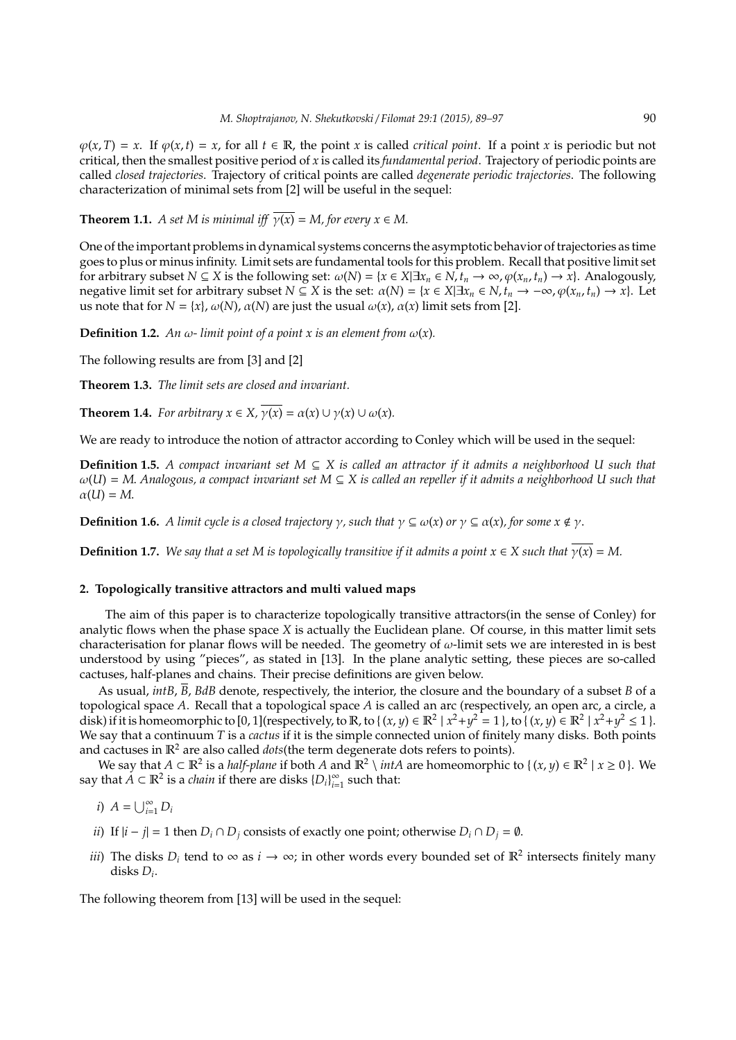$\varphi(x,T) = x$ . If  $\varphi(x,t) = x$ , for all  $t \in \mathbb{R}$ , the point *x* is called *critical point*. If a point *x* is periodic but not critical, then the smallest positive period of *x* is called its *fundamental period*. Trajectory of periodic points are called *closed trajectories*. Trajectory of critical points are called *degenerate periodic trajectories*. The following characterization of minimal sets from [2] will be useful in the sequel:

**Theorem 1.1.** *A set M is minimal iff*  $\overline{\gamma}(x) = M$ , for every  $x \in M$ .

One of the important problems in dynamical systems concerns the asymptotic behavior of trajectories as time goes to plus or minus infinity. Limit sets are fundamental tools for this problem. Recall that positive limit set for arbitrary subset *N*  $\subseteq$  *X* is the following set:  $\omega(N) = \{x \in X | \exists x_n \in N, t_n \to \infty, \varphi(x_n, t_n) \to x\}$ . Analogously, negative limit set for arbitrary subset  $N \subseteq X$  is the set:  $\alpha(N) = \{x \in X | \exists x_n \in N, t_n \to -\infty, \varphi(x_n, t_n) \to x\}$ . Let us note that for  $N = \{x\}$ ,  $\omega(N)$ ,  $\alpha(N)$  are just the usual  $\omega(x)$ ,  $\alpha(x)$  limit sets from [2].

**Definition 1.2.** *An*  $\omega$ - *limit point of a point x is an element from*  $\omega(x)$ *.* 

The following results are from [3] and [2]

**Theorem 1.3.** *The limit sets are closed and invariant.*

**Theorem 1.4.** *For arbitrary*  $x \in X$ ,  $\overline{\gamma(x)} = \alpha(x) \cup \gamma(x) \cup \omega(x)$ *.* 

We are ready to introduce the notion of attractor according to Conley which will be used in the sequel:

**Definition 1.5.** *A compact invariant set M* ⊆ *X is called an attractor if it admits a neighborhood U such that* ω(*U*) = *M*. *Analogous, a compact invariant set M* ⊆ *X is called an repeller if it admits a neighborhood U such that*  $\alpha(U) = M$ .

**Definition 1.6.** *A limit cycle is a closed trajectory*  $\gamma$ *, such that*  $\gamma \subseteq \omega(x)$  *or*  $\gamma \subseteq \alpha(x)$ *, for some*  $x \notin \gamma$ *.* 

**Definition 1.7.** *We say that a set M is topologically transitive if it admits a point*  $x \in X$  *such that*  $y(x) = M$ .

### **2. Topologically transitive attractors and multi valued maps**

The aim of this paper is to characterize topologically transitive attractors(in the sense of Conley) for analytic flows when the phase space *X* is actually the Euclidean plane. Of course, in this matter limit sets characterisation for planar flows will be needed. The geometry of  $\omega$ -limit sets we are interested in is best understood by using "pieces", as stated in [13]. In the plane analytic setting, these pieces are so-called cactuses, half-planes and chains. Their precise definitions are given below.

As usual, *intB*, *B*, *BdB* denote, respectively, the interior, the closure and the boundary of a subset *B* of a topological space *A*. Recall that a topological space *A* is called an arc (respectively, an open arc, a circle, a disk) if it is homeomorphic to [0, 1](respectively, to  $\mathbb{R}$ , to { $(x, y) \in \mathbb{R}^2 | x^2 + y^2 = 1$ }, to { $(x, y) \in \mathbb{R}^2 | x^2 + y^2 \le 1$ }. We say that a continuum *T* is a *cactus* if it is the simple connected union of finitely many disks. Both points and cactuses in  $\mathbb{R}^2$  are also called *dots*(the term degenerate dots refers to points).

We say that  $A \subset \mathbb{R}^2$  is a *half-plane* if both  $A$  and  $\mathbb{R}^2 \setminus intA$  are homeomorphic to  $\{(x, y) \in \mathbb{R}^2 \mid x \ge 0\}$ . We say that  $A \subset \mathbb{R}^2$  is a *chain* if there are disks  $\{D_i\}_{i=1}^{\infty}$  $\sum_{i=1}^{\infty}$  such that:

*i*)  $A = \bigcup_{i=1}^{\infty} D_i$ 

- *ii*) If  $|i j| = 1$  then  $D_i ∩ D_j$  consists of exactly one point; otherwise  $D_i ∩ D_j = ∅$ .
- *iii*) The disks  $D_i$  tend to  $\infty$  as  $i \to \infty$ ; in other words every bounded set of  $\mathbb{R}^2$  intersects finitely many disks *D<sup>i</sup>* .

The following theorem from [13] will be used in the sequel: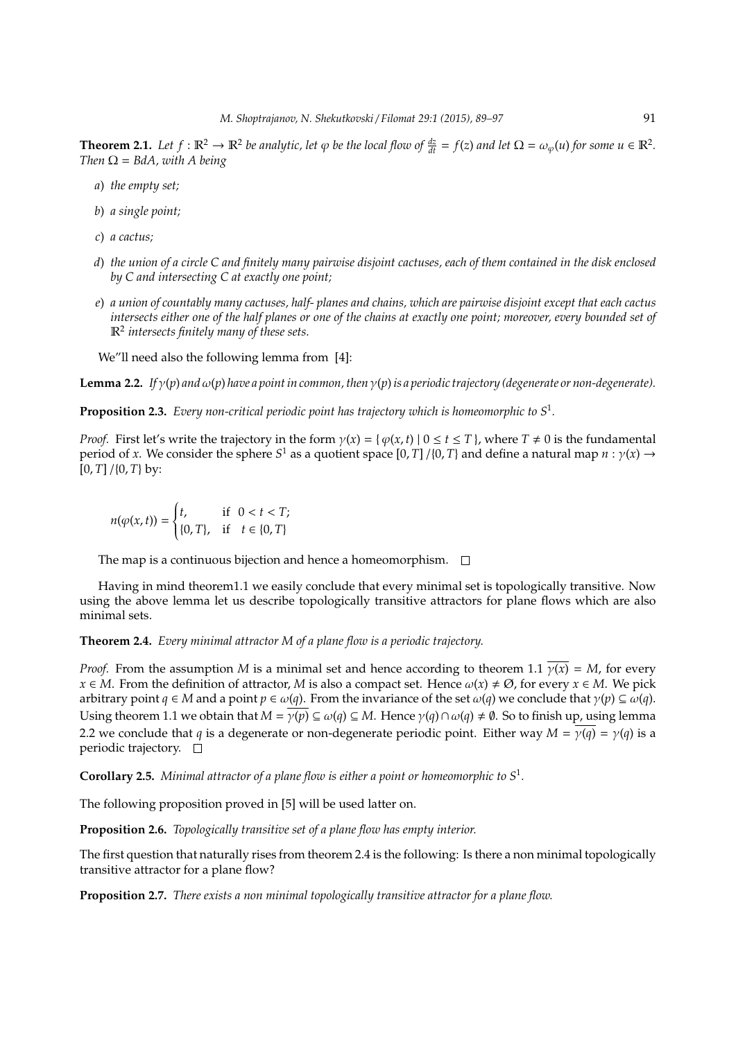**Theorem 2.1.** Let  $f : \mathbb{R}^2 \to \mathbb{R}^2$  be analytic, let  $\varphi$  be the local flow of  $\frac{dz}{dt} = f(z)$  and let  $\Omega = \omega_{\varphi}(u)$  for some  $u \in \mathbb{R}^2$ . *Then*  $\Omega = BdA$ *, with A being* 

- *a*) *the empty set;*
- *b*) *a single point;*
- *c*) *a cactus;*
- *d*) *the union of a circle C and finitely many pairwise disjoint cactuses, each of them contained in the disk enclosed by C and intersecting C at exactly one point;*
- *e*) *a union of countably many cactuses, half- planes and chains, which are pairwise disjoint except that each cactus intersects either one of the half planes or one of the chains at exactly one point; moreover, every bounded set of* R2 *intersects finitely many of these sets.*

We"ll need also the following lemma from [4]:

**Lemma 2.2.** *If*  $\gamma(p)$  *and*  $\omega(p)$  *have a point in common, then*  $\gamma(p)$  *is a periodic trajectory (degenerate or non-degenerate).* 

**Proposition 2.3.** *Every non-critical periodic point has trajectory which is homeomorphic to S*<sup>1</sup> *.*

*Proof.* First let's write the trajectory in the form  $\gamma(x) = \{\varphi(x, t) | 0 \le t \le T\}$ , where  $T \ne 0$  is the fundamental period of *x*. We consider the sphere  $S^1$  as a quotient space  $[0, T] / \{0, T\}$  and define a natural map  $n : \gamma(x) \to$  $[0, T] / \{0, T\}$  by:

$$
n(\varphi(x,t)) = \begin{cases} t, & \text{if } 0 < t < T; \\ \{0, T\}, & \text{if } t \in \{0, T\} \end{cases}
$$

The map is a continuous bijection and hence a homeomorphism.  $\Box$ 

Having in mind theorem1.1 we easily conclude that every minimal set is topologically transitive. Now using the above lemma let us describe topologically transitive attractors for plane flows which are also minimal sets.

**Theorem 2.4.** *Every minimal attractor M of a plane flow is a periodic trajectory.*

*Proof.* From the assumption *M* is a minimal set and hence according to theorem 1.1  $\gamma(x) = M$ , for every *x* ∈ *M*. From the definition of attractor, *M* is also a compact set. Hence  $\omega(x) \neq \emptyset$ , for every *x* ∈ *M*. We pick arbitrary point *q* ∈ *M* and a point *p* ∈  $\omega$ (*q*). From the invariance of the set  $\omega$ (*q*) we conclude that  $\gamma$ (*p*) ⊆  $\omega$ (*q*). Using theorem 1.1 we obtain that  $M = \gamma(p) \subseteq \omega(q) \subseteq M$ . Hence  $\gamma(q) \cap \omega(q) \neq \emptyset$ . So to finish up, using lemma 2.2 we conclude that *q* is a degenerate or non-degenerate periodic point. Either way  $M = \gamma(q) = \gamma(q)$  is a periodic trajectory.  $\square$ 

**Corollary 2.5.** *Minimal attractor of a plane flow is either a point or homeomorphic to S*<sup>1</sup> *.*

The following proposition proved in [5] will be used latter on.

**Proposition 2.6.** *Topologically transitive set of a plane flow has empty interior.*

The first question that naturally rises from theorem 2.4 is the following: Is there a non minimal topologically transitive attractor for a plane flow?

**Proposition 2.7.** *There exists a non minimal topologically transitive attractor for a plane flow.*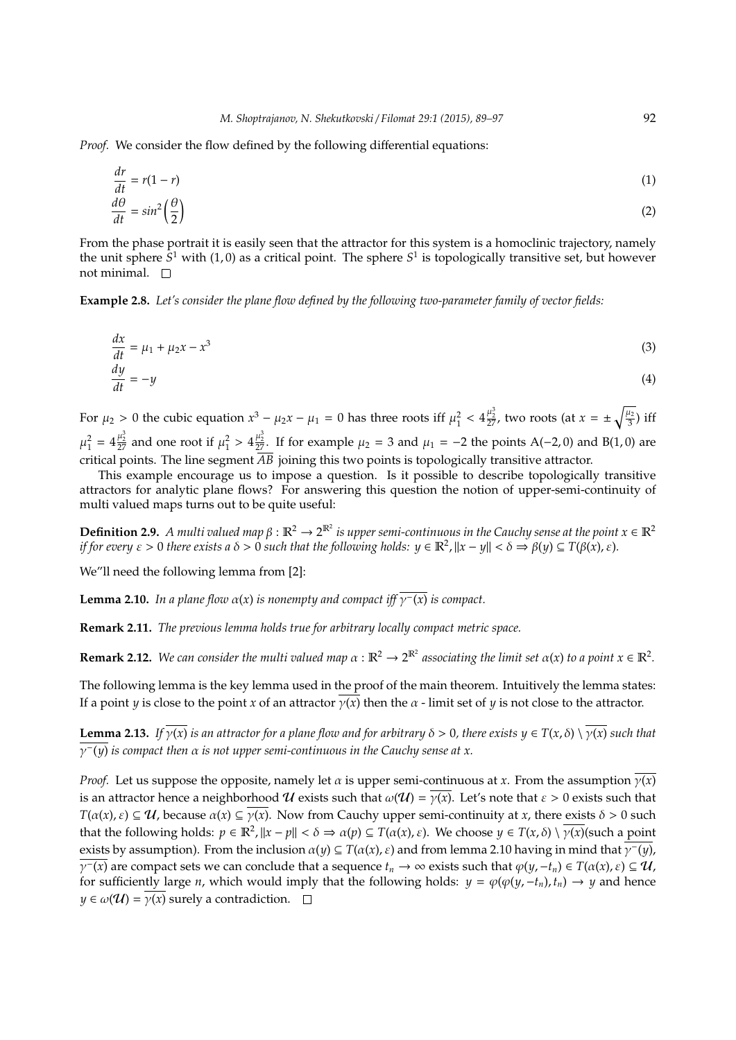*Proof.* We consider the flow defined by the following differential equations:

$$
\frac{dr}{dt} = r(1 - r) \tag{1}
$$
\n
$$
\frac{d\theta}{dt} = \sin^2\left(\frac{\theta}{2}\right) \tag{2}
$$

From the phase portrait it is easily seen that the attractor for this system is a homoclinic trajectory, namely the unit sphere S<sup>1</sup> with (1,0) as a critical point. The sphere S<sup>1</sup> is topologically transitive set, but however not minimal.  $\square$ 

**Example 2.8.** *Let's consider the plane flow defined by the following two-parameter family of vector fields:*

$$
\frac{dx}{dt} = \mu_1 + \mu_2 x - x^3
$$
\n
$$
\frac{dy}{dt} = -y
$$
\n(3)

For  $\mu_2 > 0$  the cubic equation  $x^3 - \mu_2 x - \mu_1 = 0$  has three roots iff  $\mu_1^2 < 4\frac{\mu_2^3}{27}$ , two roots (at  $x = \pm \sqrt{\frac{\mu_2}{3}}$  $\frac{u_2}{3}$ ) iff  $\mu_1^2 = 4\frac{\mu_2^3}{27}$  and one root if  $\mu_1^2 > 4\frac{\mu_2^3}{27}$ . If for example  $\mu_2 = 3$  and  $\mu_1 = -2$  the points A(-2,0) and B(1,0) are critical points. The line segment  $\overline{AB}$  joining this two points is topologically transitive attractor.

This example encourage us to impose a question. Is it possible to describe topologically transitive attractors for analytic plane flows? For answering this question the notion of upper-semi-continuity of multi valued maps turns out to be quite useful:

**Definition 2.9.** A multi valued map  $\beta : \mathbb{R}^2 \to 2^{\mathbb{R}^2}$  is upper semi-continuous in the Cauchy sense at the point  $x \in \mathbb{R}^2$ *if for every*  $\varepsilon > 0$  *there exists a*  $\delta > 0$  *such that the following holds:*  $y \in \mathbb{R}^2$ ,  $||x - y|| < \delta \Rightarrow \beta(y) \subseteq T(\beta(x), \varepsilon)$ .

We"ll need the following lemma from [2]:

**Lemma 2.10.** *In a plane flow*  $\alpha(x)$  *is nonempty and compact iff*  $\overline{\gamma}(x)$  *is compact.* 

**Remark 2.11.** *The previous lemma holds true for arbitrary locally compact metric space.*

**Remark 2.12.** We can consider the multi valued map  $\alpha : \mathbb{R}^2 \to 2^{\mathbb{R}^2}$  associating the limit set  $\alpha(x)$  to a point  $x \in \mathbb{R}^2$ .

The following lemma is the key lemma used in the proof of the main theorem. Intuitively the lemma states: If a point *y* is close to the point *x* of an attractor  $y(x)$  then the  $\alpha$  - limit set of *y* is not close to the attractor.

**Lemma 2.13.** *If*  $\overline{\gamma(x)}$  *is an attractor for a plane flow and for arbitrary*  $\delta > 0$ *, there exists*  $y \in T(x, \delta) \setminus \overline{\gamma(x)}$  *such that* γ<sup>−</sup>(*y*) *is compact then* α *is not upper semi-continuous in the Cauchy sense at x.*

*Proof.* Let us suppose the opposite, namely let  $\alpha$  is upper semi-continuous at *x*. From the assumption  $\overline{\gamma(x)}$ is an attractor hence a neighborhood U exists such that  $\omega(\mathcal{U}) = \overline{\gamma(x)}$ . Let's note that  $\varepsilon > 0$  exists such that  $T(\alpha(x), \varepsilon) \subseteq \mathcal{U}$ , because  $\alpha(x) \subseteq \gamma(x)$ . Now from Cauchy upper semi-continuity at *x*, there exists  $\delta > 0$  such that the following holds:  $p \in \mathbb{R}^2$ ,  $||x - p|| < \delta \Rightarrow \alpha(p) \subseteq T(\alpha(x), \varepsilon)$ . We choose  $y \in T(x, \delta) \setminus \overline{\gamma(x)}$ (such a point exists by assumption). From the inclusion  $\alpha(y) \subseteq T(\alpha(x), \varepsilon)$  and from lemma 2.10 having in mind that  $\overline{\gamma(y)}$ ,  $\overline{\gamma}(x)$  are compact sets we can conclude that a sequence  $t_n \to \infty$  exists such that  $\varphi(y, -t_n) \in T(\alpha(x), \varepsilon) \subseteq \mathcal{U}$ , for sufficiently large *n*, which would imply that the following holds:  $y = \varphi(\varphi(y, -t_n), t_n) \to y$  and hence  $y \in \omega(\mathcal{U}) = \overline{y(x)}$  surely a contradiction.  $\square$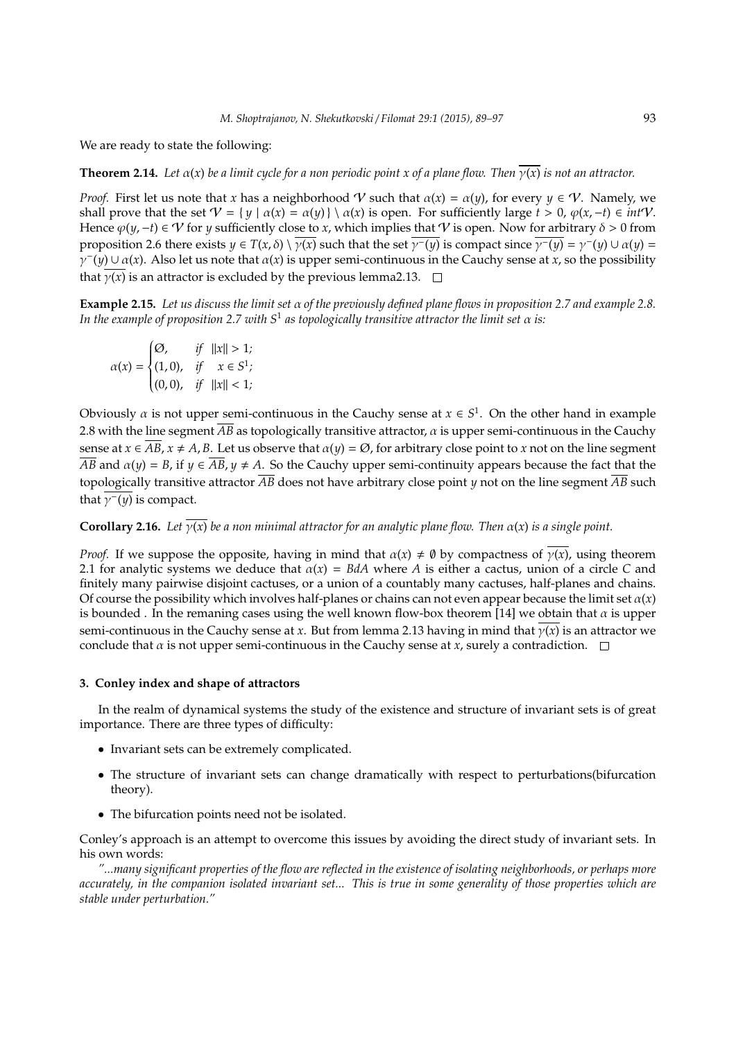We are ready to state the following:

**Theorem 2.14.** *Let*  $\alpha(x)$  *be a limit cycle for a non periodic point x of a plane flow. Then*  $\overline{\gamma(x)}$  *is not an attractor.* 

*Proof.* First let us note that *x* has a neighborhood V such that  $\alpha(x) = \alpha(y)$ , for every  $y \in \mathcal{V}$ . Namely, we shall prove that the set  $V = \{ y \mid \alpha(x) = \alpha(y) \} \setminus \alpha(x)$  is open. For sufficiently large  $t > 0$ ,  $\varphi(x, -t) \in intV$ . Hence  $\varphi(y,-t) \in V$  for *y* sufficiently close to *x*, which implies that V is open. Now for arbitrary  $\delta > 0$  from proposition 2.6 there exists  $y \in T(x, \delta) \setminus \overline{\gamma(x)}$  such that the set  $\overline{\gamma}(y)$  is compact since  $\overline{\gamma}(y) = \gamma'(y) \cup \alpha(y) =$  $\hat{\gamma}^-(y) \cup \alpha(x)$ . Also let us note that  $\alpha(x)$  is upper semi-continuous in the Cauchy sense at *x*, so the possibility that  $\overline{\gamma(x)}$  is an attractor is excluded by the previous lemma2.13.  $\Box$ 

**Example 2.15.** *Let us discuss the limit set* α *of the previously defined plane flows in proposition 2.7 and example 2.8. In the example of proposition 2.7 with S*<sup>1</sup> *as topologically transitive attractor the limit set* α *is:*

$$
\alpha(x) = \begin{cases} \varnothing, & \text{if} \quad ||x|| > 1; \\ (1,0), & \text{if} \quad x \in S^1; \\ (0,0), & \text{if} \quad ||x|| < 1; \end{cases}
$$

Obviously  $\alpha$  is not upper semi-continuous in the Cauchy sense at  $x \in S^1$ . On the other hand in example 2.8 with the line segment  $\overline{AB}$  as topologically transitive attractor,  $\alpha$  is upper semi-continuous in the Cauchy sense at  $x \in \overline{AB}$ ,  $x \neq A$ ,  $B$ . Let us observe that  $\alpha(y) = \emptyset$ , for arbitrary close point to *x* not on the line segment  $\overline{AB}$  and  $\alpha(y) = B$ , if  $y \in \overline{AB}$ ,  $y \neq A$ . So the Cauchy upper semi-continuity appears because the fact that the topologically transitive attractor  $\overline{AB}$  does not have arbitrary close point *y* not on the line segment  $\overline{AB}$  such that  $\gamma$ <sup>-</sup>(*y*) is compact.

**Corollary 2.16.** *Let*  $\overline{y(x)}$  *be a non minimal attractor for an analytic plane flow. Then*  $\alpha(x)$  *is a single point.* 

*Proof.* If we suppose the opposite, having in mind that  $\alpha(x) \neq \emptyset$  by compactness of  $\overline{\gamma(x)}$ , using theorem 2.1 for analytic systems we deduce that  $\alpha(x) = BdA$  where *A* is either a cactus, union of a circle *C* and finitely many pairwise disjoint cactuses, or a union of a countably many cactuses, half-planes and chains. Of course the possibility which involves half-planes or chains can not even appear because the limit set  $\alpha(x)$ is bounded . In the remaning cases using the well known flow-box theorem [14] we obtain that  $\alpha$  is upper semi-continuous in the Cauchy sense at *x*. But from lemma 2.13 having in mind that γ(*x*) is an attractor we conclude that  $\alpha$  is not upper semi-continuous in the Cauchy sense at *x*, surely a contradiction.  $\square$ 

## **3. Conley index and shape of attractors**

In the realm of dynamical systems the study of the existence and structure of invariant sets is of great importance. There are three types of difficulty:

- Invariant sets can be extremely complicated.
- The structure of invariant sets can change dramatically with respect to perturbations(bifurcation theory).
- The bifurcation points need not be isolated.

Conley's approach is an attempt to overcome this issues by avoiding the direct study of invariant sets. In his own words:

*"...many significant properties of the flow are reflected in the existence of isolating neighborhoods, or perhaps more accurately, in the companion isolated invariant set... This is true in some generality of those properties which are stable under perturbation."*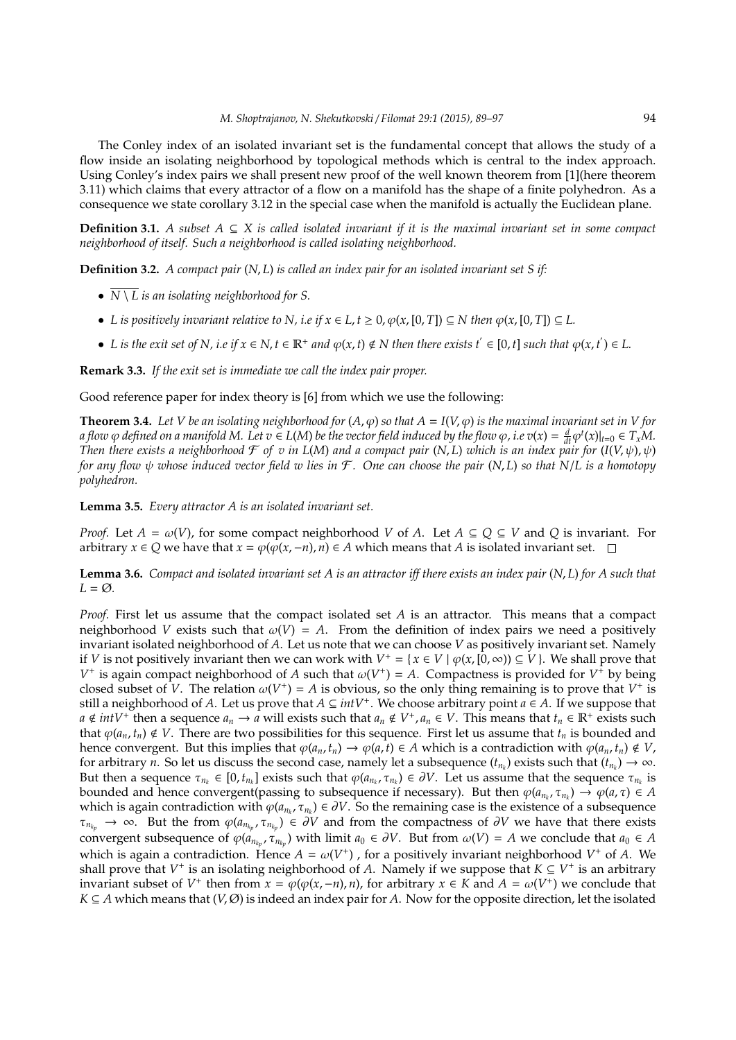The Conley index of an isolated invariant set is the fundamental concept that allows the study of a flow inside an isolating neighborhood by topological methods which is central to the index approach. Using Conley's index pairs we shall present new proof of the well known theorem from [1](here theorem 3.11) which claims that every attractor of a flow on a manifold has the shape of a finite polyhedron. As a consequence we state corollary 3.12 in the special case when the manifold is actually the Euclidean plane.

**Definition 3.1.** *A subset*  $A \subseteq X$  *is called isolated invariant if it is the maximal invariant set in some compact neighborhood of itself. Such a neighborhood is called isolating neighborhood.*

**Definition 3.2.** *A compact pair* (*N*, *L*) *is called an index pair for an isolated invariant set S if:*

- *N* \ *L is an isolating neighborhood for S.*
- *L* is positively invariant relative to N, i.e if  $x \in L$ ,  $t \ge 0$ ,  $\varphi(x, [0, T]) \subseteq N$  then  $\varphi(x, [0, T]) \subseteq L$ .
- *L* is the exit set of N, i.e if  $x \in N$ ,  $t \in \mathbb{R}^+$  and  $\varphi(x, t) \notin N$  then there exists  $t' \in [0, t]$  such that  $\varphi(x, t') \in L$ .

**Remark 3.3.** *If the exit set is immediate we call the index pair proper.*

Good reference paper for index theory is [6] from which we use the following:

**Theorem 3.4.** Let V be an isolating neighborhood for  $(A, \varphi)$  so that  $A = I(V, \varphi)$  is the maximal invariant set in V for a flow  $\varphi$  defined on a manifold M. Let  $v \in L(M)$  be the vector field induced by the flow  $\varphi$ , i.e  $v(x) = \frac{d}{dt} \varphi^t(x)|_{t=0} \in T_xM$ . *Then there exists a neighborhood*  $\mathcal F$  *of v in L(M) and a compact pair* (*N, L) which is an index pair for*  $(I(V,\psi),\psi)$ *for any flow* ψ *whose induced vector field w lies in* F *. One can choose the pair* (*N*, *L*) *so that N*/*L is a homotopy polyhedron.*

**Lemma 3.5.** *Every attractor A is an isolated invariant set.*

*Proof.* Let  $A = \omega(V)$ , for some compact neighborhood *V* of *A*. Let  $A \subseteq Q \subseteq V$  and *Q* is invariant. For arbitrary *x* ∈ *Q* we have that *x* =  $\varphi(\varphi(x, -n), n) \in A$  which means that *A* is isolated invariant set.  $\Box$ 

**Lemma 3.6.** *Compact and isolated invariant set A is an attractor iff there exists an index pair* (*N*, *L*) *for A such that*  $L = \emptyset$ .

*Proof.* First let us assume that the compact isolated set *A* is an attractor. This means that a compact neighborhood *V* exists such that  $\omega(V) = A$ . From the definition of index pairs we need a positively invariant isolated neighborhood of *A*. Let us note that we can choose *V* as positively invariant set. Namely if *V* is not positively invariant then we can work with  $V^+ = \{x \in V \mid \varphi(x, [0, \infty)) \subseteq V\}$ . We shall prove that *V*<sup>+</sup> is again compact neighborhood of *A* such that  $\omega(V^+) = A$ . Compactness is provided for *V*<sup>+</sup> by being closed subset of *V*. The relation  $\omega(V^+) = A$  is obvious, so the only thing remaining is to prove that  $V^+$  is still a neighborhood of *A*. Let us prove that *A* ⊆ *intV*<sup>+</sup> . We choose arbitrary point *a* ∈ *A*. If we suppose that  $a \notin intV^+$  then a sequence  $a_n \to a$  will exists such that  $a_n \notin V^+$ ,  $a_n \in V$ . This means that  $t_n \in \mathbb{R}^+$  exists such that  $\varphi(a_n, t_n) \notin V$ . There are two possibilities for this sequence. First let us assume that  $t_n$  is bounded and hence convergent. But this implies that  $\varphi(a_n, t_n) \to \varphi(a, t) \in A$  which is a contradiction with  $\varphi(a_n, t_n) \notin V$ , for arbitrary *n*. So let us discuss the second case, namely let a subsequence  $(t_{n_k})$  exists such that  $(t_{n_k}) \to \infty$ . But then a sequence  $\tau_{n_k} \in [0, t_{n_k}]$  exists such that  $\varphi(a_{n_k}, \tau_{n_k}) \in \partial V$ . Let us assume that the sequence  $\tau_{n_k}$  is bounded and hence convergent(passing to subsequence if necessary). But then  $\varphi(a_{n_k}, \tau_{n_k}) \to \varphi(a, \tau) \in A$ which is again contradiction with  $\varphi(a_{n_k}, \tau_{n_k}) \in \partial V$ . So the remaining case is the existence of a subsequence  $\tau_{n_{k_p}} \to \infty$ . But the from  $\varphi(a_{n_{k_p}}, \tau_{n_{k_p}}) \in \partial V$  and from the compactness of  $\partial V$  we have that there exists convergent subsequence of  $\varphi(a_{n_{k_p}}, \tau_{n_{k_p}})$  with limit  $a_0 \in \partial V$ . But from  $\omega(V) = A$  we conclude that  $a_0 \in A$ which is again a contradiction. Hence  $A = \omega(V^+)$ , for a positively invariant neighborhood  $V^+$  of A. We shall prove that  $V^+$  is an isolating neighborhood of *A*. Namely if we suppose that  $K \subseteq V^+$  is an arbitrary invariant subset of  $V^+$  then from  $x = \varphi(\varphi(x, -n), n)$ , for arbitrary  $x \in K$  and  $A = \omega(V^+)$  we conclude that  $K \subseteq A$  which means that  $(V, \emptyset)$  is indeed an index pair for *A*. Now for the opposite direction, let the isolated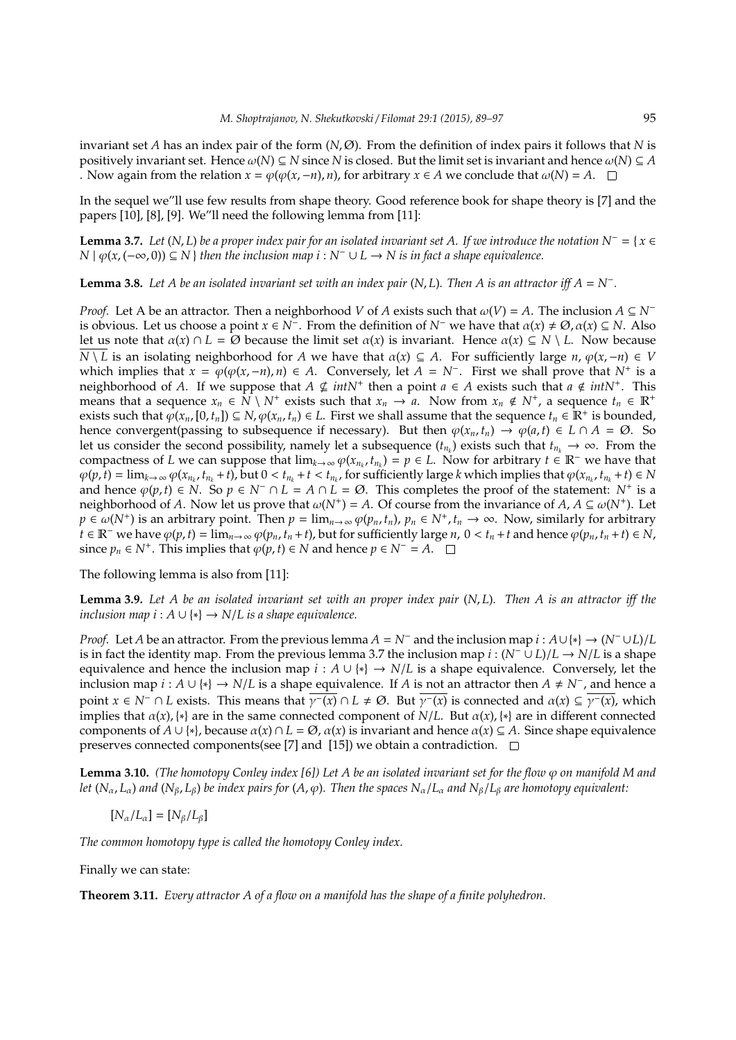invariant set *A* has an index pair of the form (*N*, Ø). From the definition of index pairs it follows that *N* is positively invariant set. Hence  $\omega(N) \subseteq N$  since N is closed. But the limit set is invariant and hence  $\omega(N) \subseteq A$ . Now again from the relation  $x = \varphi(\varphi(x, -n), n)$ , for arbitrary  $x \in A$  we conclude that  $\omega(N) = A$ .  $\square$ 

In the sequel we"ll use few results from shape theory. Good reference book for shape theory is [7] and the papers [10], [8], [9]. We"ll need the following lemma from [11]:

**Lemma 3.7.** *Let* (*N*, *L*) *be a proper index pair for an isolated invariant set A. If we introduce the notation N<sup>−</sup> = {* $x \in$ *N* |  $\varphi$ (*x*, (−∞, 0)) ⊆ *N* } *then the inclusion map i* : *N*<sup>−</sup> ∪ *L* → *N is in fact a shape equivalence.* 

**Lemma 3.8.** Let A be an isolated invariant set with an index pair ( $N$ ,  $L$ ). Then A is an attractor iff  $A = N^{-}$ .

*Proof.* Let A be an attractor. Then a neighborhood *V* of *A* exists such that  $\omega(V) = A$ . The inclusion  $A \subseteq N^$ is obvious. Let us choose a point  $x \in N^-$ . From the definition of  $N^-$  we have that  $\alpha(x) \neq \emptyset$ ,  $\alpha(x) \subseteq N$ . Also let us note that  $\alpha(x) \cap L = \emptyset$  because the limit set  $\alpha(x)$  is invariant. Hence  $\alpha(x) \subseteq N \setminus L$ . Now because  $\overline{N \setminus L}$  is an isolating neighborhood for *A* we have that  $\alpha(x) \subseteq A$ . For sufficiently large *n*,  $\varphi(x, -n) \in V$ which implies that  $\hat{x} = \varphi(\varphi(x, -n), n) \in A$ . Conversely, let  $A = N^-$ . First we shall prove that  $N^+$  is a neighborhood of *A*. If we suppose that  $A \nsubseteq intN^+$  then a point  $a \in A$  exists such that  $a \notin intN^+$ . This means that a sequence  $x_n \in \overline{N} \setminus N^+$  exists such that  $x_n \to a$ . Now from  $x_n \notin N^+$ , a sequence  $t_n \in \mathbb{R}^+$ exists such that  $\varphi(x_n,[0,t_n]) \subseteq N$ ,  $\varphi(x_n,t_n) \in L$ . First we shall assume that the sequence  $t_n \in \mathbb{R}^+$  is bounded, hence convergent(passing to subsequence if necessary). But then  $\varphi(x_n, t_n) \to \varphi(a, t) \in L \cap A = \emptyset$ . So let us consider the second possibility, namely let a subsequence  $(t_{n_k})$  exists such that  $t_{n_k} \to \infty$ . From the compactness of *L* we can suppose that  $\lim_{k\to\infty} \varphi(x_{n_k}, t_{n_k}) = p \in L$ . Now for arbitrary  $t \in \mathbb{R}^-$  we have that  $\varphi(p,\hat{t}) = \lim_{k \to \infty} \varphi(x_{n_k}, t_{n_k} + t)$ , but  $0 < t_{n_k} + t < t_{n_k}$ , for sufficiently large k which implies that  $\varphi(x_{n_k}, t_{n_k} + t) \in N$ and hence  $\varphi(p,t) \in \mathring{N}$ . So  $p \in \mathbb{N}^- \cap L = A \cap L = \emptyset$ . This completes the proof of the statement:  $\mathring{N}^+$  is a neighborhood of *A*. Now let us prove that  $\omega(N^+) = A$ . Of course from the invariance of *A*,  $A \subseteq \omega(N^+)$ . Let  $p \in \omega(N^+)$  is an arbitrary point. Then  $p = \lim_{n \to \infty} \varphi(p_n, t_n)$ ,  $p_n \in N^+$ ,  $t_n \to \infty$ . Now, similarly for arbitrary  $t \in \mathbb{R}^+$  we have  $\varphi(p,t) = \lim_{n \to \infty} \varphi(p_n,t_n+t)$ , but for sufficiently large  $n, 0 < t_n + t$  and hence  $\varphi(p_n,t_n+t) \in N$ , since  $p_n \in N^+$ . This implies that  $\varphi(p, t) \in N$  and hence  $p \in N^- = A$ .

The following lemma is also from [11]:

**Lemma 3.9.** *Let A be an isolated invariant set with an proper index pair* (*N*, *L*)*. Then A is an attractor iff the inclusion map i* :  $A \cup \{*\} \rightarrow N/L$  *is a shape equivalence.* 

*Proof.* Let *A* be an attractor. From the previous lemma  $A = N^-$  and the inclusion map  $i : A \cup \{*\} \to (N^- \cup L)/L$ is in fact the identity map. From the previous lemma 3.7 the inclusion map  $i : (N^- \cup L)/L \rightarrow N/L$  is a shape equivalence and hence the inclusion map  $i : A \cup \{*\} \to N/L$  is a shape equivalence. Conversely, let the inclusion map *i* : *A* ∪ {\*} → *N*/*L* is a shape equivalence. If *A* is not an attractor then *A* ≠ *N*<sup>−</sup>, and hence a point  $x \in N^- \cap L$  exists. This means that  $\overline{\gamma}(x) \cap L \neq \emptyset$ . But  $\overline{\gamma}(x)$  is connected and  $\alpha(x) \subseteq \overline{\gamma}(x)$ , which implies that  $\alpha(x)$ , {\*} are in the same connected component of *N*/*L*. But  $\alpha(x)$ , {\*} are in different connected components of  $A \cup \{*\}$ , because  $\alpha(x) \cap L = \emptyset$ ,  $\alpha(x)$  is invariant and hence  $\alpha(x) \subseteq A$ . Since shape equivalence preserves connected components(see [7] and [15]) we obtain a contradiction.  $\square$ 

**Lemma 3.10.** *(The homotopy Conley index [6]) Let A be an isolated invariant set for the flow*  $\varphi$  *on manifold M and let*  $(N_\alpha, L_\alpha)$  *and*  $(N_\beta, L_\beta)$  *be index pairs for*  $(A, \varphi)$ *. Then the spaces*  $N_\alpha/L_\alpha$  *and*  $N_\beta/L_\beta$  *are homotopy equivalent:* 

$$
[N_{\alpha}/L_{\alpha}] = [N_{\beta}/L_{\beta}]
$$

*The common homotopy type is called the homotopy Conley index.*

Finally we can state:

**Theorem 3.11.** *Every attractor A of a flow on a manifold has the shape of a finite polyhedron.*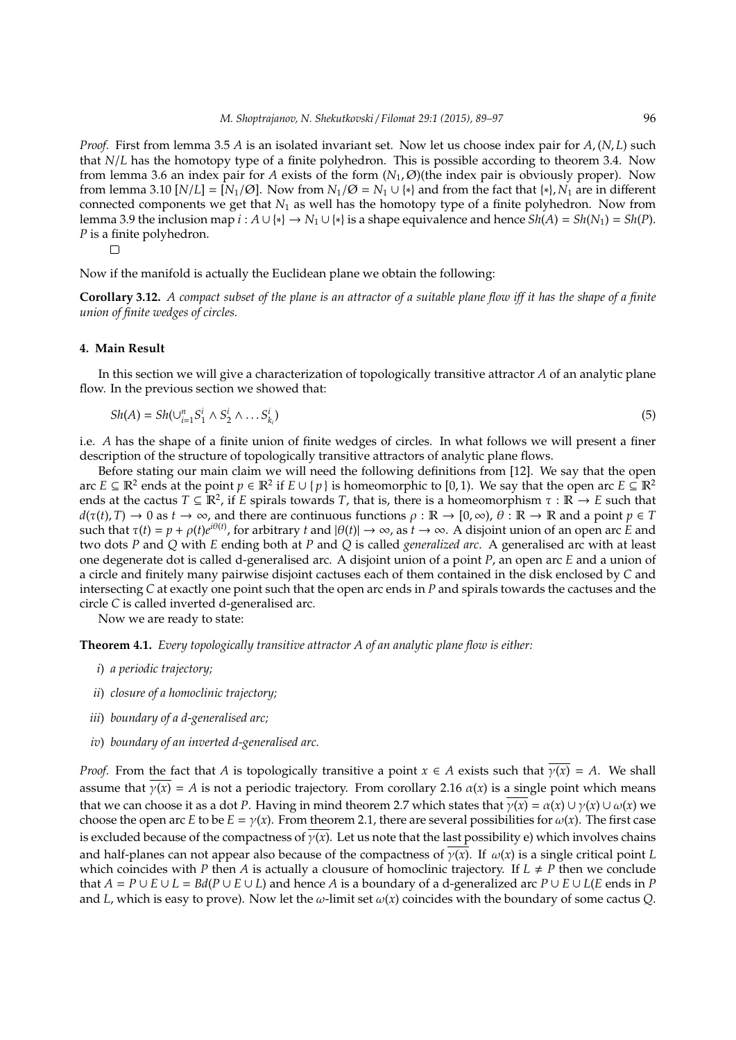*Proof.* First from lemma 3.5 *A* is an isolated invariant set. Now let us choose index pair for *A*, (*N*, *L*) such that *N*/*L* has the homotopy type of a finite polyhedron. This is possible according to theorem 3.4. Now from lemma 3.6 an index pair for *A* exists of the form  $(N_1, \emptyset)$  (the index pair is obviously proper). Now from lemma 3.10  $[N/L] = [N_1/\emptyset]$ . Now from  $N_1/\emptyset = N_1 \cup \{*\}$  and from the fact that  $\{*\}, N_1$  are in different connected components we get that *N*<sup>1</sup> as well has the homotopy type of a finite polyhedron. Now from lemma 3.9 the inclusion map  $i : A \cup \{*\} \to N_1 \cup \{*\}$  is a shape equivalence and hence  $Sh(A) = Sh(N_1) = Sh(P)$ . *P* is a finite polyhedron.

 $\Box$ 

Now if the manifold is actually the Euclidean plane we obtain the following:

**Corollary 3.12.** *A compact subset of the plane is an attractor of a suitable plane flow iff it has the shape of a finite union of finite wedges of circles.*

## **4. Main Result**

In this section we will give a characterization of topologically transitive attractor *A* of an analytic plane flow. In the previous section we showed that:

$$
Sh(A) = Sh(\cup_{i=1}^{n} S_1^i \wedge S_2^i \wedge \dots S_{k_i}^i)
$$
\n
$$
(5)
$$

i.e. *A* has the shape of a finite union of finite wedges of circles. In what follows we will present a finer description of the structure of topologically transitive attractors of analytic plane flows.

Before stating our main claim we will need the following definitions from [12]. We say that the open arc  $E \subseteq \mathbb{R}^2$  ends at the point  $p \in \mathbb{R}^2$  if  $E \cup \{p\}$  is homeomorphic to [0, 1). We say that the open arc  $E \subseteq \mathbb{R}^2$ ends at the cactus  $T \subseteq \mathbb{R}^2$ , if *E* spirals towards *T*, that is, there is a homeomorphism  $\tau : \mathbb{R} \to E$  such that  $d(\tau(t), T) \to 0$  as  $t \to \infty$ , and there are continuous functions  $\rho : \mathbb{R} \to [0, \infty)$ ,  $\theta : \mathbb{R} \to \mathbb{R}$  and a point  $p \in T$ such that  $\tau(t) = p + \rho(t)e^{i\theta(t)}$ , for arbitrary *t* and  $|\theta(t)| \to \infty$ , as  $t \to \infty$ . A disjoint union of an open arc *E* and two dots *P* and *Q* with *E* ending both at *P* and *Q* is called *generalized arc*. A generalised arc with at least one degenerate dot is called d-generalised arc. A disjoint union of a point *P*, an open arc *E* and a union of a circle and finitely many pairwise disjoint cactuses each of them contained in the disk enclosed by *C* and intersecting *C* at exactly one point such that the open arc ends in *P* and spirals towards the cactuses and the circle *C* is called inverted d-generalised arc.

Now we are ready to state:

**Theorem 4.1.** *Every topologically transitive attractor A of an analytic plane flow is either:*

- *i*) *a periodic trajectory;*
- *ii*) *closure of a homoclinic trajectory;*
- *iii*) *boundary of a d-generalised arc;*
- *iv*) *boundary of an inverted d-generalised arc.*

*Proof.* From the fact that *A* is topologically transitive a point  $x \in A$  exists such that  $\overline{\gamma(x)} = A$ . We shall assume that  $\gamma(x) = A$  is not a periodic trajectory. From corollary 2.16  $\alpha(x)$  is a single point which means that we can choose it as a dot *P*. Having in mind theorem 2.7 which states that  $\overline{\gamma(x)} = \alpha(x) \cup \gamma(x) \cup \omega(x)$  we choose the open arc *E* to be  $E = \gamma(x)$ . From theorem 2.1, there are several possibilities for  $\omega(x)$ . The first case is excluded because of the compactness of  $\gamma(x)$ . Let us note that the last possibility e) which involves chains and half-planes can not appear also because of the compactness of  $\gamma(x)$ . If  $\omega(x)$  is a single critical point *L* which coincides with *P* then *A* is actually a clousure of homoclinic trajectory. If  $L \neq P$  then we conclude that  $A = P \cup E \cup L = Bd(P \cup E \cup L)$  and hence *A* is a boundary of a d-generalized arc  $P \cup E \cup L(E \text{ ends in } P)$ and *L*, which is easy to prove). Now let the  $\omega$ -limit set  $\omega(x)$  coincides with the boundary of some cactus *Q*.